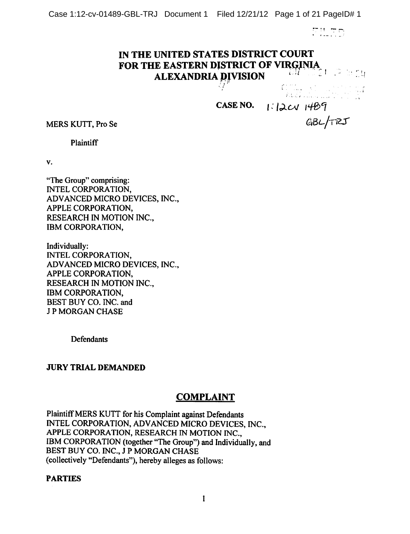**DU DE** 

# *IN THE UNITED STATES DISTRICT COURT FOR THE EASTERN DJSTRICT OF VIRQJNIA ALEXANDRIA PjfVISION ' !*

*i .t..:, ,,;*

*CASE* NO. **1:** 12CV 1469

MERS KUTT, Pro Se **G^d>L./r^S**

**Plaintiff** 

v.

"The Group" comprising: INTEL CORPORATION, ADVANCED MICRO DEVICES, INC., APPLE CORPORATION, RESEARCH IN MOTION INC., IBM CORPORATION,

Individually: INTEL CORPORATION, ADVANCED MICRO DEVICES, INC., APPLE CORPORATION, RESEARCH IN MOTION INC., IBM CORPORATION, BEST BUY CO. INC. and J P MORGAN CHASE

**Defendants** 

### *JURY TRIAL DEMANDED*

# *COMPLAINT*

PlaintiffMERS KUTT for his Complaint against Defendants INTEL CORPORATION, ADVANCED MICRO DEVICES, INC., APPLE CORPORATION, RESEARCH IN MOTION INC., IBM CORPORATION (together "The Group") and Individually, and BEST BUY CO. INC., J P MORGAN CHASE (collectively "Defendants"), hereby alleges as follows:

### *PARTIES*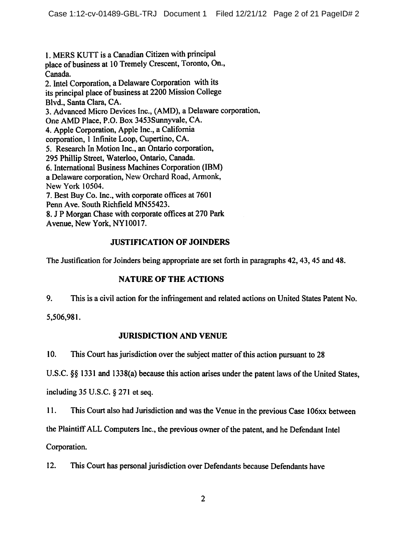1. MERS KUTT is a Canadian Citizen with principal place of business at 10 Tremely Crescent, Toronto, On., Canada. 2. Intel Corporation, a Delaware Corporation with its its principal place of business at 2200 Mission College Blvd., Santa Clara, CA. 3. Advanced Micro Devices Inc., (AMD), a Delaware corporation, One AMD Place, P.O. Box 3453Sunnyvale, CA. 4. Apple Corporation, Apple Inc., a California corporation, 1 Infinite Loop, Cupertino, CA. 5. Research In Motion Inc., an Ontario corporation, 295 Phillip Street, Waterloo, Ontario, Canada. 6. International Business Machines Corporation (IBM) a Delaware corporation, New Orchard Road, Armonk, New York 10504. 7. Best Buy Co. Inc., with corporate offices at 7601 Penn Ave. South Richfield MN55423. 8. J P Morgan Chase with corporate offices at 270 Park Avenue, New York, NY10017.

# **JUSTIFICATION OF JOINDERS**

The Justification for Joinders being appropriate are set forth in paragraphs 42, 43, 45 and 48.

# **NATURE OF THE ACTIONS**

9. This is a civil action for the infringement and related actions on United States Patent No.

5,506,981.

# **JURISDICTION AND VENUE**

This Court has jurisdiction over the subject matter of this action pursuant to 28  $10.$ 

U.S.C. §§ 1331 and 1338(a) because this action arises under the patent laws of the United States,

including  $35$  U.S.C. § 271 et seq.

11. This Court also had Jurisdiction and was the Venue in the previous Case 106xx between

the Plaintiff ALL Computers Inc., the previous owner of the patent, and he Defendant Intel

Corporation.

 $12.$ This Court has personal jurisdiction over Defendants because Defendants have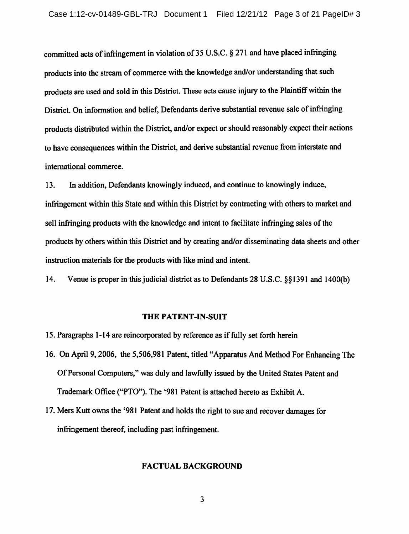committed acts of infringement in violation of 35 U.S.C. § 271 and have placed infringing products into the stream of commerce with the knowledge and/or understanding that such products are used and sold in this District. These acts cause injury to the Plaintiff within the District. On information and belief, Defendants derive substantial revenue sale of infringing products distributed within the District, and/or expect or should reasonably expect their actions to have consequences within the District, and derive substantial revenue from interstate and international commerce.

In addition, Defendants knowingly induced, and continue to knowingly induce,  $13.$ infringement within this State and within this District by contracting with others to market and sell infringing products with the knowledge and intent to facilitate infringing sales of the products by others within this District and by creating and/or disseminating data sheets and other instruction materials for the products with like mind and intent.

14. Venue is proper in this judicial district as to Defendants 28 U.S.C. §§1391 and 1400(b)

### THE PATENT-IN-SUIT

- 15. Paragraphs 1-14 are reincorporated by reference as if fully set forth herein
- 16. On April 9, 2006, the 5,506,981 Patent, titled "Apparatus And Method For Enhancing The Of Personal Computers," was duly and lawfully issued by the United States Patent and Trademark Office ("PTO"). The '981 Patent is attached hereto as Exhibit A.
- 17. Mers Kutt owns the '981 Patent and holds the right to sue and recover damages for infringement thereof, including past infringement.

### **FACTUAL BACKGROUND**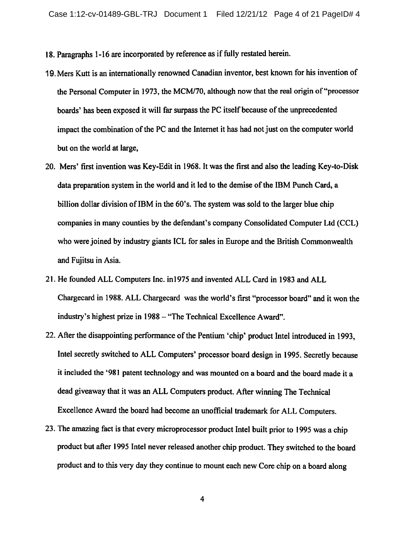- 18. Paragraphs 1-16 are incorporated by reference as if fully restated herein.
- 19. Mers Kutt is an internationally renowned Canadian inventor, best known for his invention of the Personal Computer in 1973, the MCM/70, although now that the real origin of "processor" boards' has been exposed it will far surpass the PC itself because of the unprecedented impact the combination of the PC and the Internet it has had not just on the computer world but on the world at large.
- 20. Mers' first invention was Key-Edit in 1968. It was the first and also the leading Key-to-Disk data preparation system in the world and it led to the demise of the IBM Punch Card, a billion dollar division of IBM in the 60's. The system was sold to the larger blue chip companies in many counties by the defendant's company Consolidated Computer Ltd (CCL) who were joined by industry giants ICL for sales in Europe and the British Commonwealth and Fuiitsu in Asia.
- 21. He founded ALL Computers Inc. in 1975 and invented ALL Card in 1983 and ALL Chargecard in 1988. ALL Chargecard was the world's first "processor board" and it won the industry's highest prize in 1988 - "The Technical Excellence Award".
- 22. After the disappointing performance of the Pentium 'chip' product Intel introduced in 1993. Intel secretly switched to ALL Computers' processor board design in 1995. Secretly because it included the '981 patent technology and was mounted on a board and the board made it a dead giveaway that it was an ALL Computers product. After winning The Technical Excellence Award the board had become an unofficial trademark for ALL Computers.
- 23. The amazing fact is that every microprocessor product Intel built prior to 1995 was a chip product but after 1995 Intel never released another chip product. They switched to the board product and to this very day they continue to mount each new Core chip on a board along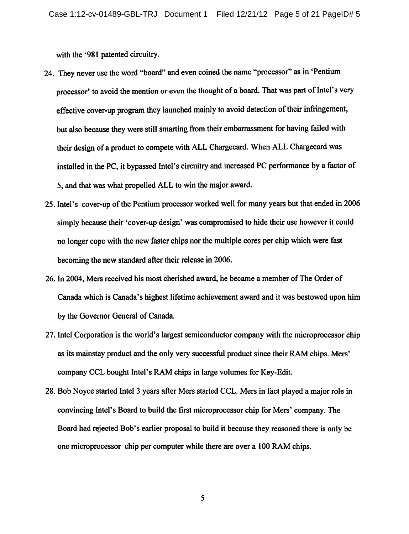with the '981 patented circuitry.

- 24. They never use the word "board" and even coined the name "processor" as in 'Pentium processor' to avoid the mention or even the thought of a board. That was part of Intel's very effective cover-up program they launched mainly to avoid detection of their infringement, but also because they were still smarting from their embarrassment for having failed with their design of a product to compete with ALL Chargecard. When ALL Chargecard was installed in the PC, it bypassed Intel's circuitry and increased PC performance by a factor of 5, and that was what propelled ALL to win the major award.
- 25. Intel's cover-up of the Pentium processor worked well for many years but that ended in 2006 simply because their 'cover-up design' was compromised to hide their use however it could no longer cope with the new faster chips nor the multiple cores per chip which were fast becoming the new standard after their release in 2006.
- 26. In 2004, Mers received his most cherished award, he became a member of The Order of Canada which is Canada's highest lifetime achievement award and it was bestowed upon him by the Governor General of Canada.
- 27. Intel Corporation is the world's largest semiconductor company with the microprocessor chip as its mainstay product and the only very successful product since their RAM chips. Mers' company CCL bought Intel's RAM chips in large volumes for Key-Edit.
- 28. Bob Noyce started Intel 3 years after Mers started CCL. Mers in fact played a major role in convincing Intel's Board to build the first microprocessor chip for Mers' company. The Board had rejected Bob's earlier proposal to build it because they reasoned there is only be one microprocessor chip per computer while there are over a 100 RAM chips.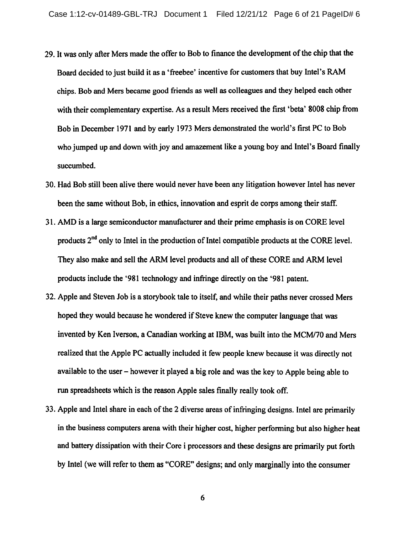- 29. It was only after Mers made the offer to Bob to finance the development of the chip that the Board decided to just build it as a 'freebee' incentive for customers that buy Intel's RAM chips. Bob and Mers became good friends as well as colleagues and they helped each other with their complementary expertise. As a result Mers received the first 'beta' 8008 chip from Bob in December 1971 and by early 1973 Mers demonstrated the world's first PC to Bob who jumped up and down with joy and amazement like a young boy and Intel's Board finally succumbed.
- 30. Had Bob still been alive there would never have been any litigation however Intel has never been the same without Bob, in ethics, innovation and esprit de corps among their staff.
- 31. AMD is a large semiconductor manufacturer and their prime emphasis is on CORE level products 2<sup>nd</sup> only to Intel in the production of Intel compatible products at the CORE level. They also make and sell the ARM level products and all of these CORE and ARM level products include the '981 technology and infringe directly on the '981 patent.
- 32. Apple and Steven Job is a storybook tale to itself, and while their paths never crossed Mers hoped they would because he wondered if Steve knew the computer language that was invented by Ken Iverson, a Canadian working at IBM, was built into the MCM/70 and Mers realized that the Apple PC actually included it few people knew because it was directly not available to the user – however it played a big role and was the key to Apple being able to run spreadsheets which is the reason Apple sales finally really took off.
- 33. Apple and Intel share in each of the 2 diverse areas of infringing designs. Intel are primarily in the business computers arena with their higher cost, higher performing but also higher heat and battery dissipation with their Core i processors and these designs are primarily put forth by Intel (we will refer to them as "CORE" designs; and only marginally into the consumer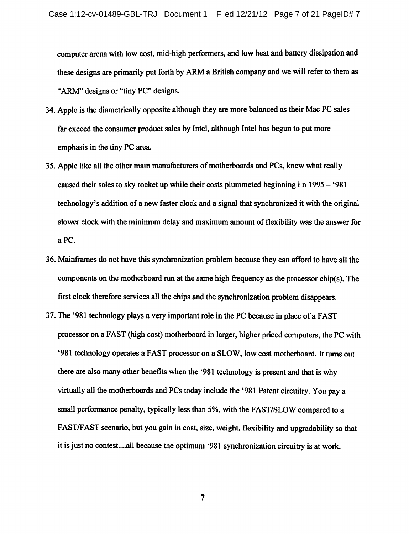computer arena with low cost, mid-high performers, and low heat and battery dissipation and these designs are primarily put forth by ARM a British company and we will refer to them as "ARM" designs or "tiny PC" designs.

- 34. Apple is the diametrically opposite although they are more balanced as their Mac PC sales far exceed the consumer product sales by Intel, although Intel has begun to put more emphasis in the tiny PC area.
- 35. Apple like all the other main manufacturers of motherboards and PCs, knew what really caused their sales to sky rocket up while their costs plummeted beginning i n 1995 – '981 technology's addition of a new faster clock and a signal that synchronized it with the original slower clock with the minimum delay and maximum amount of flexibility was the answer for a PC.
- 36. Mainframes do not have this synchronization problem because they can afford to have all the components on the motherboard run at the same high frequency as the processor chip(s). The first clock therefore services all the chips and the synchronization problem disappears.
- 37. The '981 technology plays a very important role in the PC because in place of a FAST processor on a FAST (high cost) motherboard in larger, higher priced computers, the PC with '981 technology operates a FAST processor on a SLOW, low cost motherboard. It turns out there are also many other benefits when the '981 technology is present and that is why virtually all the motherboards and PCs today include the '981 Patent circuitry. You pay a small performance penalty, typically less than 5%, with the FAST/SLOW compared to a FAST/FAST scenario, but you gain in cost, size, weight, flexibility and upgradability so that it is just no contest....all because the optimum '981 synchronization circuitry is at work.

 $\overline{7}$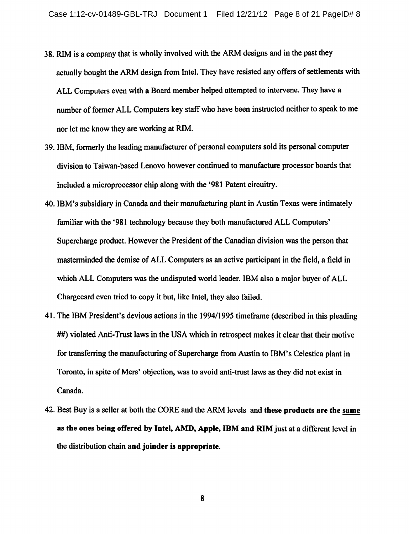- 38. RIM is a company that is wholly involved with the ARM designs and in the past they actually bought the ARM design from Intel. They have resisted any offers of settlements with ALL Computers even with a Board member helped attempted to intervene. They have a number of former ALL Computers key staff who have been instructed neither to speak to me nor let me know they are working at RIM.
- 39. IBM, formerly the leading manufacturer of personal computers sold its personal computer division to Taiwan-based Lenovo however continued to manufacture processor boards that included a microprocessor chip along with the '981 Patent circuitry.
- 40. IBM's subsidiary in Canada and their manufacturing plant in Austin Texas were intimately familiar with the '981 technology because they both manufactured ALL Computers' Supercharge product. However the President of the Canadian division was the person that masterminded the demise of ALL Computers as an active participant in the field, a field in which ALL Computers was the undisputed world leader. IBM also a major buyer of ALL Chargecard even tried to copy it but, like Intel, they also failed.
- 41. The IBM President's devious actions in the 1994/1995 time frame (described in this pleading ##) violated Anti-Trust laws in the USA which in retrospect makes it clear that their motive for transferring the manufacturing of Supercharge from Austin to IBM's Celestica plant in Toronto, in spite of Mers' objection, was to avoid anti-trust laws as they did not exist in Canada.
- 42. Best Buy is a seller at both the CORE and the ARM levels and these products are the same as the ones being offered by Intel, AMD, Apple, IBM and RIM just at a different level in the distribution chain and joinder is appropriate.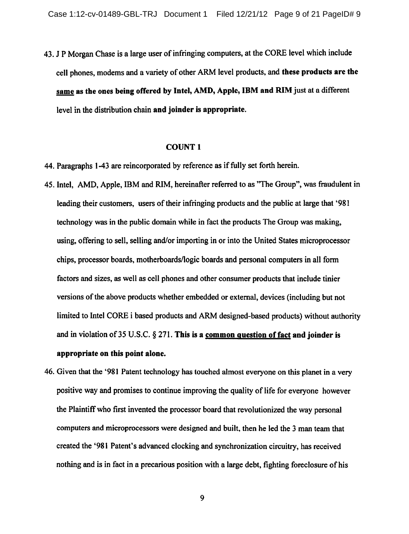43. J P Morgan Chase is a large user of infringing computers, at the CORE level which include cell phones, modems and a variety of other ARM level products, and these products are the same as the ones being offered by Intel, AMD, Apple, IBM and RIM just at a different level in the distribution chain and joinder is appropriate.

### **COUNT 1**

44. Paragraphs 1-43 are reincorporated by reference as if fully set forth herein.

- 45. Intel. AMD, Apple, IBM and RIM, hereinafter referred to as "The Group", was fraudulent in leading their customers, users of their infringing products and the public at large that '981 technology was in the public domain while in fact the products The Group was making. using, offering to sell, selling and/or importing in or into the United States microprocessor chips, processor boards, motherboards/logic boards and personal computers in all form factors and sizes, as well as cell phones and other consumer products that include tinier versions of the above products whether embedded or external, devices (including but not limited to Intel CORE i based products and ARM designed-based products) without authority and in violation of 35 U.S.C.  $\S 271$ . This is a common question of fact and joinder is appropriate on this point alone.
- 46. Given that the '981 Patent technology has touched almost everyone on this planet in a very positive way and promises to continue improving the quality of life for everyone however the Plaintiff who first invented the processor board that revolutionized the wav personal computers and microprocessors were designed and built, then he led the 3 man team that created the '981 Patent's advanced clocking and synchronization circuitry, has received nothing and is in fact in a precarious position with a large debt, fighting foreclosure of his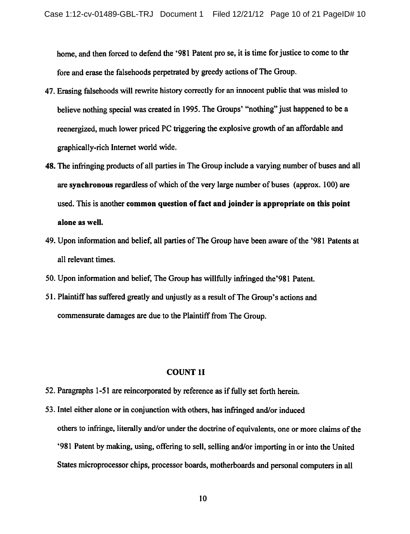home, and then forced to defend the '981 Patent pro se, it is time for justice to come to thr fore and erase the falsehoods perpetrated by greedy actions of The Group.

- 47. Erasing falsehoods will rewrite history correctly for an innocent public that was misled to believe nothing special was created in 1995. The Groups' "nothing" just happened to be a reenergized, much lower priced PC triggering the explosive growth of an affordable and graphically-rich Internet world wide.
- 48. The infringing products of all parties in The Group include a varying number of buses and all are synchronous regardless of which of the very large number of buses (approx. 100) are used. This is another common question of fact and joinder is appropriate on this point alone as well.
- 49. Upon information and belief, all parties of The Group have been aware of the '981 Patents at all relevant times.
- 50. Upon information and belief, The Group has willfully infringed the '981 Patent.
- 51. Plaintiff has suffered greatly and unjustly as a result of The Group's actions and commensurate damages are due to the Plaintiff from The Group.

### **COUNT 1I**

- 52. Paragraphs 1-51 are reincorporated by reference as if fully set forth herein.
- 53. Intel either alone or in conjunction with others, has infringed and/or induced others to infringe, literally and/or under the doctrine of equivalents, one or more claims of the '981 Patent by making, using, offering to sell, selling and/or importing in or into the United States microprocessor chips, processor boards, motherboards and personal computers in all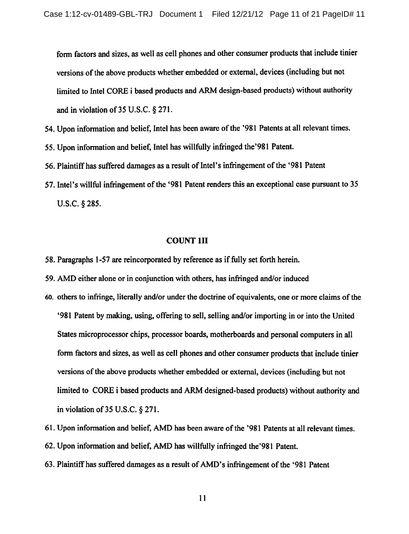form factors and sizes, as well as cell phones and other consumer products that include tinier versions of the above products whether embedded or external, devices (including but not limited to Intel CORE i based products and ARM design-based products) without authority and in violation of  $35$  U.S.C. § 271.

- 54. Upon information and belief, Intel has been aware of the '981 Patents at all relevant times.
- 55. Upon information and belief, Intel has willfully infringed the '981 Patent.
- 56. Plaintiff has suffered damages as a result of Intel's infringement of the '981 Patent'
- 57. Intel's willful infringement of the '981 Patent renders this an exceptional case pursuant to 35 U.S.C. § 285.

#### **COUNT 1II**

- 58. Paragraphs 1-57 are reincorporated by reference as if fully set forth herein.
- 59. AMD either alone or in conjunction with others, has infringed and/or induced
- 60. others to infringe, literally and/or under the doctrine of equivalents, one or more claims of the '981 Patent by making, using, offering to sell, selling and/or importing in or into the United States microprocessor chips, processor boards, motherboards and personal computers in all form factors and sizes, as well as cell phones and other consumer products that include tinier versions of the above products whether embedded or external, devices (including but not limited to CORE i based products and ARM designed-based products) without authority and in violation of 35 U.S.C. § 271.
- 61. Upon information and belief, AMD has been aware of the '981 Patents at all relevant times.
- 62. Upon information and belief, AMD has willfully infringed the '981 Patent.
- 63. Plaintiff has suffered damages as a result of AMD's infringement of the '981 Patent'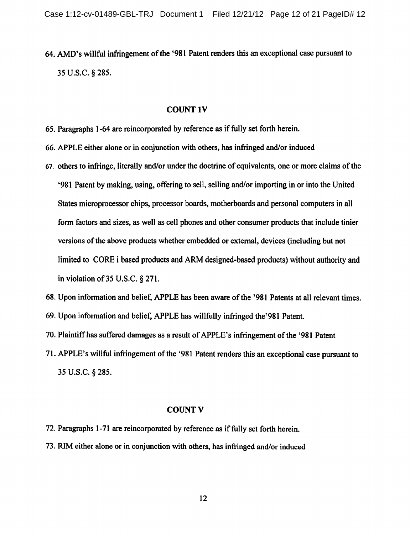64. AMD's willful infringement of the '981 Patent renders this an exceptional case pursuant to 35 U.S.C. § 285.

#### **COUNT 1V**

- 65. Paragraphs 1-64 are reincorporated by reference as if fully set forth herein.
- 66. APPLE either alone or in conjunction with others, has infringed and/or induced
- 67. others to infringe, literally and/or under the doctrine of equivalents, one or more claims of the '981 Patent by making, using, offering to sell, selling and/or importing in or into the United States microprocessor chips, processor boards, motherboards and personal computers in all form factors and sizes, as well as cell phones and other consumer products that include tinier versions of the above products whether embedded or external, devices (including but not limited to CORE i based products and ARM designed-based products) without authority and in violation of  $35$  U.S.C.  $\S 271$ .
- 68. Upon information and belief, APPLE has been aware of the '981 Patents at all relevant times.
- 69. Upon information and belief, APPLE has willfully infringed the '981 Patent.
- 70. Plaintiff has suffered damages as a result of APPLE's infringement of the '981 Patent'
- 71. APPLE's willful infringement of the '981 Patent renders this an exceptional case pursuant to 35 U.S.C. § 285.

### **COUNT V**

- 72. Paragraphs 1-71 are reincorporated by reference as if fully set forth herein.
- 73. RIM either alone or in conjunction with others, has infringed and/or induced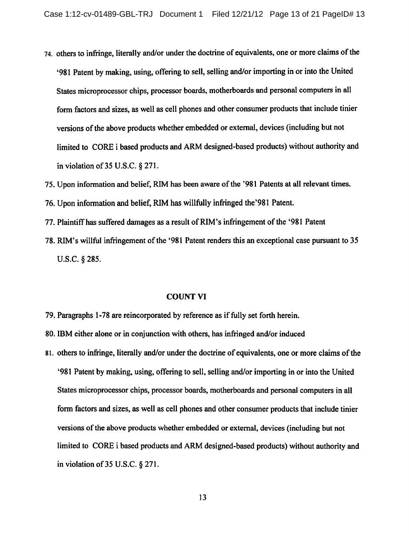- 74. others to infringe, literally and/or under the doctrine of equivalents, one or more claims of the '981 Patent by making, using, offering to sell, selling and/or importing in or into the United States microprocessor chips, processor boards, motherboards and personal computers in all form factors and sizes, as well as cell phones and other consumer products that include tinier versions of the above products whether embedded or external, devices (including but not limited to CORE i based products and ARM designed-based products) without authority and in violation of  $35$  U.S.C.  $\S 271$ .
- 75. Upon information and belief, RIM has been aware of the '981 Patents at all relevant times.
- 76. Upon information and belief, RIM has willfully infringed the '981 Patent.
- 77. Plaintiff has suffered damages as a result of RIM's infringement of the '981 Patent'
- 78. RIM's willful infringement of the '981 Patent renders this an exceptional case pursuant to 35 U.S.C.  $§$  285.

### **COUNT VI**

- 79. Paragraphs 1-78 are reincorporated by reference as if fully set forth herein.
- 80. IBM either alone or in conjunction with others, has infringed and/or induced
- 81. others to infringe, literally and/or under the doctrine of equivalents, one or more claims of the '981 Patent by making, using, offering to sell, selling and/or importing in or into the United States microprocessor chips, processor boards, motherboards and personal computers in all form factors and sizes, as well as cell phones and other consumer products that include tinier versions of the above products whether embedded or external, devices (including but not limited to CORE i based products and ARM designed-based products) without authority and in violation of 35 U.S.C.  $\S 271$ .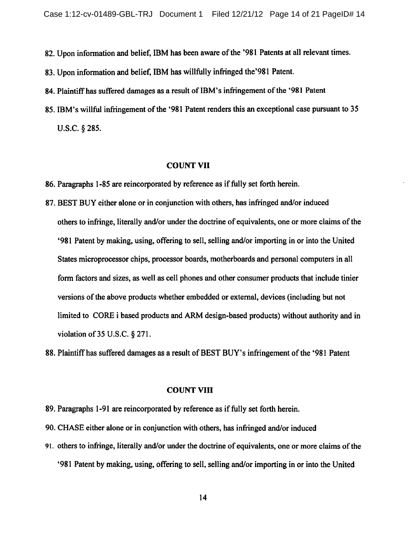82. Upon information and belief, IBM has been aware of the '981 Patents at all relevant times.

83. Upon information and belief, IBM has willfully infringed the '981 Patent.

84. Plaintiff has suffered damages as a result of IBM's infringement of the '981 Patent

85. IBM's willful infringement of the '981 Patent renders this an exceptional case pursuant to 35 U.S.C. § 285.

#### **COUNT VII**

86. Paragraphs 1-85 are reincorporated by reference as if fully set forth herein.

87. BEST BUY either alone or in conjunction with others, has infringed and/or induced others to infringe, literally and/or under the doctrine of equivalents, one or more claims of the '981 Patent by making, using, offering to sell, selling and/or importing in or into the United States microprocessor chips, processor boards, motherboards and personal computers in all form factors and sizes, as well as cell phones and other consumer products that include tinier versions of the above products whether embedded or external, devices (including but not limited to CORE i based products and ARM design-based products) without authority and in violation of 35 U.S.C. § 271.

88. Plaintiff has suffered damages as a result of BEST BUY's infringement of the '981 Patent

#### **COUNT VIII**

- 89. Paragraphs 1-91 are reincorporated by reference as if fully set forth herein.
- 90. CHASE either alone or in conjunction with others, has infringed and/or induced
- 91. others to infringe, literally and/or under the doctrine of equivalents, one or more claims of the '981 Patent by making, using, offering to sell, selling and/or importing in or into the United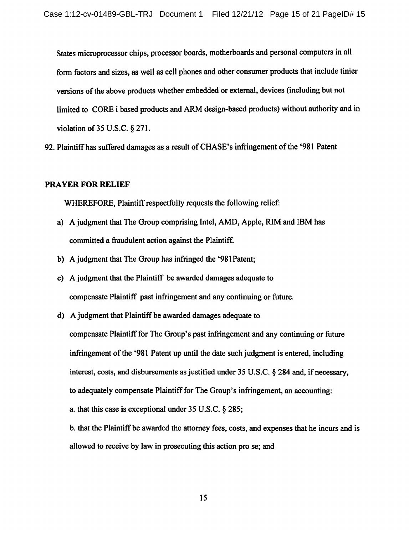States microprocessor chips, processor boards, motherboards and personal computers in all form factors and sizes, as well as cell phones and other consumer products that include tinier versions of the above products whether embedded or external, devices (including but not limited to CORE i based products and ARM design-based products) without authority and in violation of 35 U.S.C.  $\S 271$ .

92. Plaintiff has suffered damages as a result of CHASE's infringement of the '981 Patent

### **PRAYER FOR RELIEF**

WHEREFORE, Plaintiff respectfully requests the following relief:

- a) A judgment that The Group comprising Intel, AMD, Apple, RIM and IBM has committed a fraudulent action against the Plaintiff.
- b) A judgment that The Group has infringed the '981 Patent;
- c) A judgment that the Plaintiff be awarded damages adequate to compensate Plaintiff past infringement and any continuing or future.
- d) A judgment that Plaintiff be awarded damages adequate to compensate Plaintiff for The Group's past infringement and any continuing or future infringement of the '981 Patent up until the date such judgment is entered, including interest, costs, and disbursements as justified under 35 U.S.C. § 284 and, if necessary, to adequately compensate Plaintiff for The Group's infringement, an accounting: a, that this case is exceptional under 35 U.S.C. § 285;

b. that the Plaintiff be awarded the attorney fees, costs, and expenses that he incurs and is allowed to receive by law in prosecuting this action pro se; and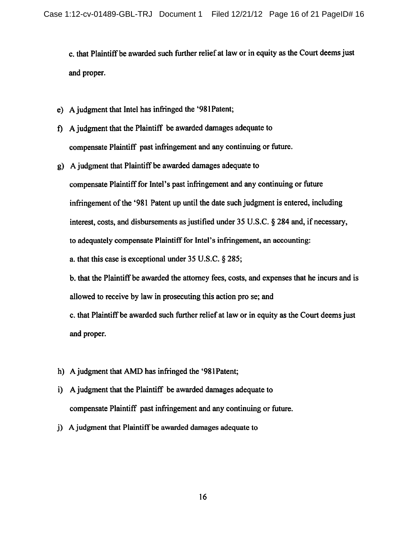c. that Plaintiff be awarded such further relief at law or in equity as the Court deems just and proper.

- e) A judgment that Intel has infringed the '981 Patent;
- f) A judgment that the Plaintiff be awarded damages adequate to compensate Plaintiff past infringement and any continuing or future.
- g) A judgment that Plaintiff be awarded damages adequate to compensate Plaintiff for Intel's past infringement and any continuing or future infringement of the '981 Patent up until the date such judgment is entered, including interest, costs, and disbursements as justified under 35 U.S.C. § 284 and, if necessary, to adequately compensate Plaintiff for Intel's infringement, an accounting: a. that this case is exceptional under  $35$  U.S.C.  $\S$  285; b, that the Plaintiff be awarded the attorney fees, costs, and expenses that he incurs and is

allowed to receive by law in prosecuting this action pro se; and

c. that Plaintiff be awarded such further relief at law or in equity as the Court deems just and proper.

- h) A judgment that AMD has infringed the '981 Patent;
- i) A judgment that the Plaintiff be awarded damages adequate to compensate Plaintiff past infringement and any continuing or future.
- i) A judgment that Plaintiff be awarded damages adequate to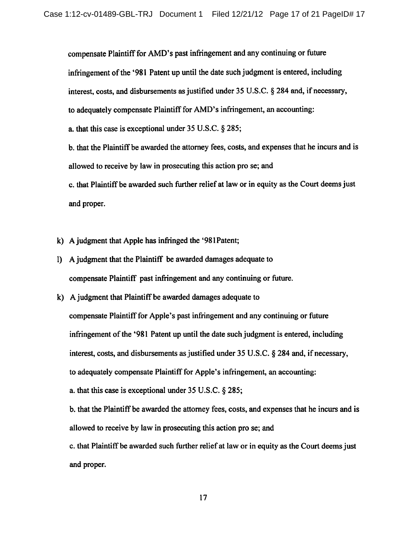compensate Plaintiff for AMD's past infringement and any continuing or future infringement of the '981 Patent up until the date such judgment is entered, including interest, costs, and disbursements as justified under 35 U.S.C. § 284 and, if necessary, to adequately compensate Plaintiff for AMD's infringement, an accounting: a. that this case is exceptional under  $35 \text{ U.S.C.}$  \$ 285; b, that the Plaintiff be awarded the attorney fees, costs, and expenses that he incurs and is allowed to receive by law in prosecuting this action pro se; and c. that Plaintiff be awarded such further relief at law or in equity as the Court deems just and proper.

k) A judgment that Apple has infringed the '981 Patent;

- 1) A judgment that the Plaintiff be awarded damages adequate to compensate Plaintiff past infringement and any continuing or future.
- k) A judgment that Plaintiff be awarded damages adequate to compensate Plaintiff for Apple's past infringement and any continuing or future infringement of the '981 Patent up until the date such judgment is entered, including interest, costs, and disbursements as justified under 35 U.S.C. § 284 and, if necessary, to adequately compensate Plaintiff for Apple's infringement, an accounting: a. that this case is exceptional under  $35 \text{ U.S.C.}$  § 285; b, that the Plaintiff be awarded the attorney fees, costs, and expenses that he incurs and is allowed to receive by law in prosecuting this action pro se; and c. that Plaintiff be awarded such further relief at law or in equity as the Court deems just

and proper.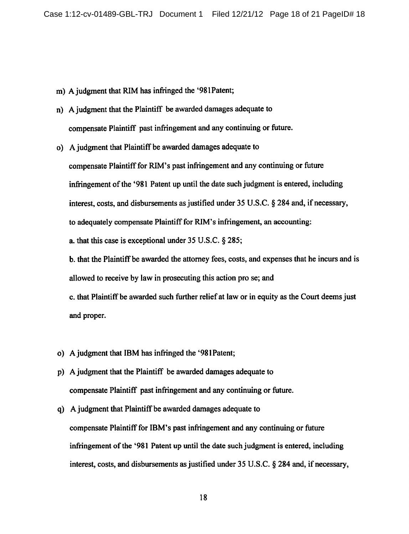- m) A judgment that RIM has infringed the '981Patent;
- n) A judgment that the Plaintiff be awarded damages adequate to compensate Plaintiff past infringement and any continuing or future.
- o) A judgment that Plaintiff be awarded damages adequate to compensate Plaintiff for RIM's past infringement and any continuing or future infringement of the '981 Patent up until the date such judgment is entered, including interest, costs, and disbursements as justified under 35 U.S.C. § 284 and, if necessary, to adequately compensate Plaintiff for RIM's infringement, an accounting: a. that this case is exceptional under 35 U.S.C. § 285;

b. that the Plaintiff be awarded the attorney fees, costs, and expenses that he incurs and is allowed to receive by law in prosecuting this action pro se; and

c. that Plaintiff be awarded such further relief at law or in equity as the Court deems just and proper.

- o) A judgment that IBM has infringed the '981Patent;
- p) A judgment that the Plaintiff be awarded damages adequate to compensate Plaintiff past infringement and any continuing or future.
- q) A judgment that Plaintiff be awarded damages adequate to compensate Plaintiff for IBM's past infringement and any continuing or future infringement of the '981 Patent up until the date such judgment is entered, including interest, costs, and disbursements as justified under 35 U.S.C. § 284 and, if necessary,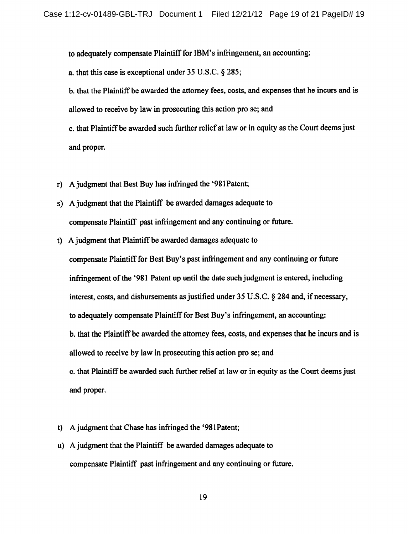to adequately compensate Plaintiff for IBM's infringement, an accounting:

a. that this case is exceptional under  $35$  U.S.C.  $\S$  285;

b. that the Plaintiff be awarded the attorney fees, costs, and expenses that he incurs and is allowed to receive by law in prosecuting this action pro se; and

c, that Plaintiff be awarded such further relief at law or in equity as the Court deems just and proper.

- A judgment that Best Buy has infringed the '981 Patent;  $r$
- s) A judgment that the Plaintiff be awarded damages adequate to compensate Plaintiff past infringement and any continuing or future.
- t) A judgment that Plaintiff be awarded damages adequate to compensate Plaintiff for Best Buy's past infringement and any continuing or future infringement of the '981 Patent up until the date such judgment is entered, including interest, costs, and disbursements as justified under 35 U.S.C. § 284 and, if necessary, to adequately compensate Plaintiff for Best Buy's infringement, an accounting: b. that the Plaintiff be awarded the attorney fees, costs, and expenses that he incurs and is allowed to receive by law in prosecuting this action pro se; and c. that Plaintiff be awarded such further relief at law or in equity as the Court deems just and proper.
- t) A judgment that Chase has infringed the '981 Patent;
- u) A judgment that the Plaintiff be awarded damages adequate to compensate Plaintiff past infringement and any continuing or future.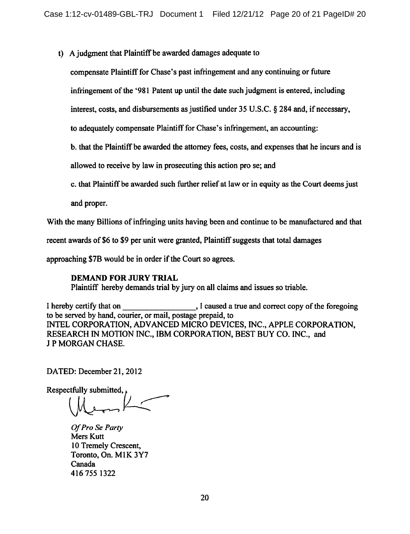t) A judgment that Plaintiff be awarded damages adequate to

compensate Plaintiff for Chase's past infringement and any continuing or future

infringement of the '981 Patent up until the date such judgment is entered, including

interest, costs, and disbursements as justified under 35 U.S.C. § 284 and, if necessary,

to adequately compensate Plaintiff for Chase's infringement, an accounting:

b, that the Plaintiff be awarded the attorney fees, costs, and expenses that he incurs and is

allowed to receive by law in prosecuting this action pro se; and

c. that Plaintiff be awarded such further relief at law or in equity as the Court deems just

and proper.

With the many Billions of infringing units having been and continue to be manufactured and that

recent awards of \$6 to \$9 per unit were granted, Plaintiff suggests that total damages

approaching \$7B would be in order if the Court so agrees.

### **DEMAND FOR JURY TRIAL**

Plaintiff hereby demands trial by jury on all claims and issues so triable.

I hereby certify that on I caused a true and correct copy of the foregoing to be served by hand, courier, or mail, postage prepaid, to INTEL CORPORATION, ADVANCED MICRO DEVICES, INC., APPLE CORPORATION, RESEARCH IN MOTION INC., IBM CORPORATION, BEST BUY CO. INC., and **J P MORGAN CHASE.** 

DATED: December 21, 2012

Respectfully submitted,

Of Pro Se Party Mers Kutt 10 Tremely Crescent, Toronto, On. M1K 3Y7 Canada 416 755 1322